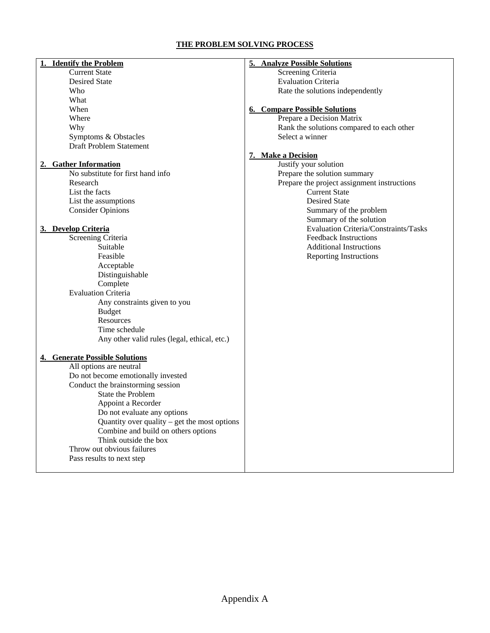### **THE PROBLEM SOLVING PROCESS**

| <b>Identify the Problem</b>                                | 5. Analyze Possible Solutions               |
|------------------------------------------------------------|---------------------------------------------|
| <b>Current State</b>                                       | Screening Criteria                          |
| <b>Desired State</b>                                       | <b>Evaluation Criteria</b>                  |
| Who                                                        | Rate the solutions independently            |
| What                                                       |                                             |
| When                                                       | <b>6. Compare Possible Solutions</b>        |
| Where                                                      | Prepare a Decision Matrix                   |
| Why                                                        | Rank the solutions compared to each other   |
| Symptoms & Obstacles                                       | Select a winner                             |
| <b>Draft Problem Statement</b>                             |                                             |
|                                                            | 7. Make a Decision                          |
|                                                            | Justify your solution                       |
| 2. Gather Information<br>No substitute for first hand info |                                             |
|                                                            | Prepare the solution summary                |
| Research                                                   | Prepare the project assignment instructions |
| List the facts                                             | <b>Current State</b>                        |
| List the assumptions                                       | <b>Desired State</b>                        |
| <b>Consider Opinions</b>                                   | Summary of the problem                      |
|                                                            | Summary of the solution                     |
| 3. Develop Criteria                                        | Evaluation Criteria/Constraints/Tasks       |
| Screening Criteria                                         | <b>Feedback Instructions</b>                |
| Suitable                                                   | <b>Additional Instructions</b>              |
| Feasible                                                   | <b>Reporting Instructions</b>               |
| Acceptable                                                 |                                             |
| Distinguishable                                            |                                             |
| Complete                                                   |                                             |
| <b>Evaluation Criteria</b>                                 |                                             |
| Any constraints given to you                               |                                             |
| <b>Budget</b>                                              |                                             |
| Resources                                                  |                                             |
| Time schedule                                              |                                             |
| Any other valid rules (legal, ethical, etc.)               |                                             |
|                                                            |                                             |
| 4. Generate Possible Solutions                             |                                             |
| All options are neutral                                    |                                             |
| Do not become emotionally invested                         |                                             |
| Conduct the brainstorming session                          |                                             |
| State the Problem                                          |                                             |
| Appoint a Recorder                                         |                                             |
| Do not evaluate any options                                |                                             |
| Quantity over quality $-$ get the most options             |                                             |
| Combine and build on others options                        |                                             |
| Think outside the box                                      |                                             |
| Throw out obvious failures                                 |                                             |
| Pass results to next step                                  |                                             |
|                                                            |                                             |
|                                                            |                                             |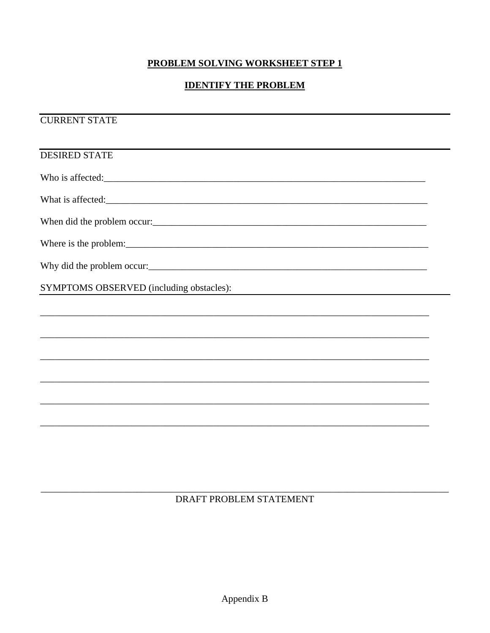## PROBLEM SOLVING WORKSHEET STEP 1

# **IDENTIFY THE PROBLEM**

**CURRENT STATE** 

| <b>DESIRED STATE</b>                                                                                         |  |
|--------------------------------------------------------------------------------------------------------------|--|
| Who is affected:                                                                                             |  |
| What is affected:                                                                                            |  |
| When did the problem occur:                                                                                  |  |
| Where is the problem:                                                                                        |  |
| Why did the problem occur:                                                                                   |  |
| SYMPTOMS OBSERVED (including obstacles):<br><u> 1980 - Johann John Stein, mars an de Francisco (f. 1918)</u> |  |
|                                                                                                              |  |
|                                                                                                              |  |
|                                                                                                              |  |
|                                                                                                              |  |
|                                                                                                              |  |
|                                                                                                              |  |
|                                                                                                              |  |

DRAFT PROBLEM STATEMENT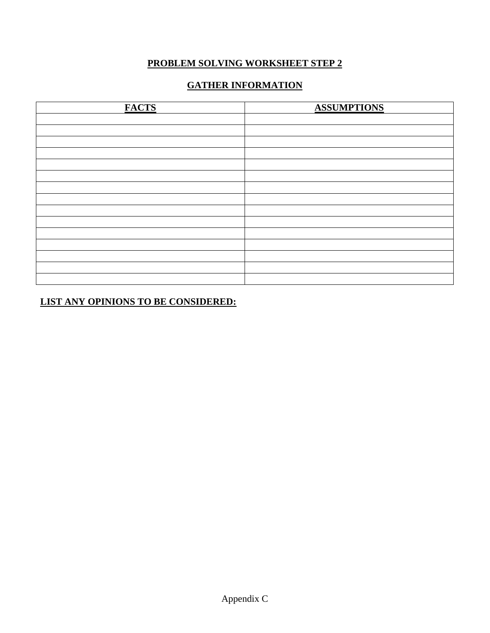### **PROBLEM SOLVING WORKSHEET STEP 2**

# **GATHER INFORMATION**

| <b>FACTS</b> | <b>ASSUMPTIONS</b> |
|--------------|--------------------|
|              |                    |
|              |                    |
|              |                    |
|              |                    |
|              |                    |
|              |                    |
|              |                    |
|              |                    |
|              |                    |
|              |                    |
|              |                    |
|              |                    |
|              |                    |
|              |                    |
|              |                    |

**LIST ANY OPINIONS TO BE CONSIDERED:**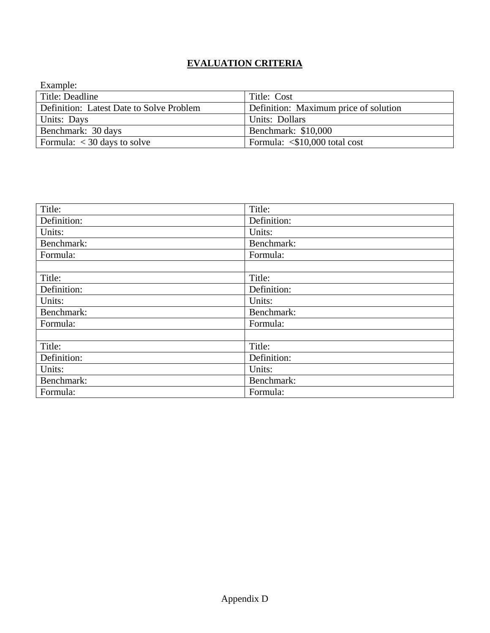# **EVALUATION CRITERIA**

| Example:                                 |                                        |
|------------------------------------------|----------------------------------------|
| Title: Deadline                          | Title: Cost                            |
| Definition: Latest Date to Solve Problem | Definition: Maximum price of solution  |
| Units: Days                              | Units: Dollars                         |
| Benchmark: 30 days                       | Benchmark: \$10,000                    |
| Formula: $<$ 30 days to solve            | Formula: $\langle$ \$10,000 total cost |

| Title:      | Title:      |
|-------------|-------------|
| Definition: | Definition: |
| Units:      | Units:      |
| Benchmark:  | Benchmark:  |
| Formula:    | Formula:    |
|             |             |
| Title:      | Title:      |
| Definition: | Definition: |
| Units:      | Units:      |
| Benchmark:  | Benchmark:  |
| Formula:    | Formula:    |
|             |             |
| Title:      | Title:      |
| Definition: | Definition: |
| Units:      | Units:      |
| Benchmark:  | Benchmark:  |
| Formula:    | Formula:    |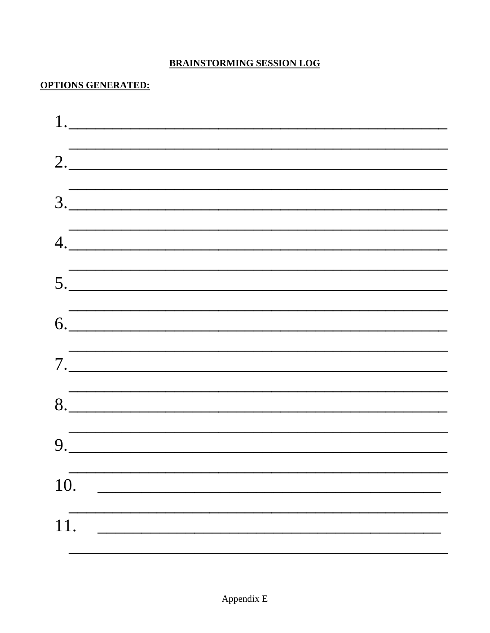# **BRAINSTORMING SESSION LOG**

# **OPTIONS GENERATED:**

|     | 2.                                                                                                                    |  |  |
|-----|-----------------------------------------------------------------------------------------------------------------------|--|--|
|     |                                                                                                                       |  |  |
|     | $\begin{array}{c}\n3.\n\end{array}$                                                                                   |  |  |
|     |                                                                                                                       |  |  |
|     | 4.                                                                                                                    |  |  |
|     | <u> 1989 - Jan Samuel Barbara, margaret a shekara 1989 - Andrea Samuel Barbara, marka 1989 - Andrea Samuel Barbar</u> |  |  |
|     | 5.                                                                                                                    |  |  |
|     |                                                                                                                       |  |  |
|     | $6. \underline{\hspace{1.5cm}}$                                                                                       |  |  |
|     |                                                                                                                       |  |  |
|     | 7.                                                                                                                    |  |  |
|     |                                                                                                                       |  |  |
|     | $8. \underline{\hspace{2cm}}$                                                                                         |  |  |
|     |                                                                                                                       |  |  |
|     | $9. \underline{\hspace{2cm}}$                                                                                         |  |  |
|     |                                                                                                                       |  |  |
| 10. |                                                                                                                       |  |  |
|     |                                                                                                                       |  |  |
| 11. |                                                                                                                       |  |  |
|     |                                                                                                                       |  |  |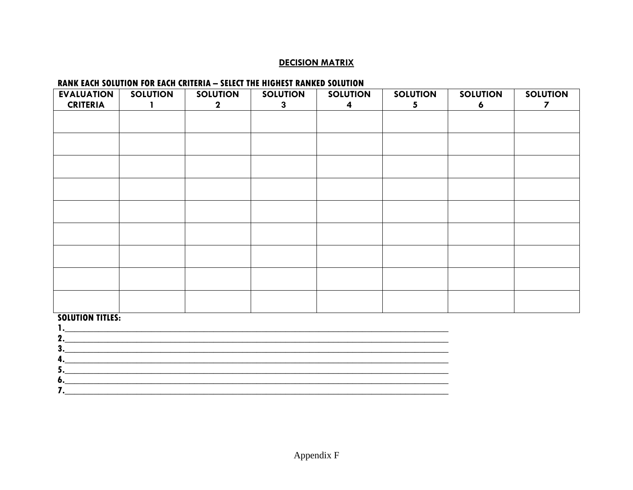#### **DECISION MATRIX**

### RANK EACH SOLUTION FOR EACH CRITERIA - SELECT THE HIGHEST RANKED SOLUTION

| <b>EVALUATION</b><br><b>CRITERIA</b> | <b>SOLUTION</b> | <b>SOLUTION</b><br>$\mathbf 2$ | <b>SOLUTION</b><br>$\mathbf{3}$ | <b>SOLUTION</b><br>4 | <b>SOLUTION</b><br>5 | <b>SOLUTION</b><br>6 | <b>SOLUTION</b><br>7 |
|--------------------------------------|-----------------|--------------------------------|---------------------------------|----------------------|----------------------|----------------------|----------------------|
|                                      |                 |                                |                                 |                      |                      |                      |                      |
|                                      |                 |                                |                                 |                      |                      |                      |                      |
|                                      |                 |                                |                                 |                      |                      |                      |                      |
|                                      |                 |                                |                                 |                      |                      |                      |                      |
|                                      |                 |                                |                                 |                      |                      |                      |                      |
|                                      |                 |                                |                                 |                      |                      |                      |                      |
|                                      |                 |                                |                                 |                      |                      |                      |                      |
|                                      |                 |                                |                                 |                      |                      |                      |                      |
|                                      |                 |                                |                                 |                      |                      |                      |                      |
| <b>SOLUTION TITLES:</b><br>1.        |                 |                                |                                 |                      |                      |                      |                      |

| 2  |  |
|----|--|
| 3. |  |
| 4. |  |
| 5  |  |
| o. |  |
|    |  |
|    |  |